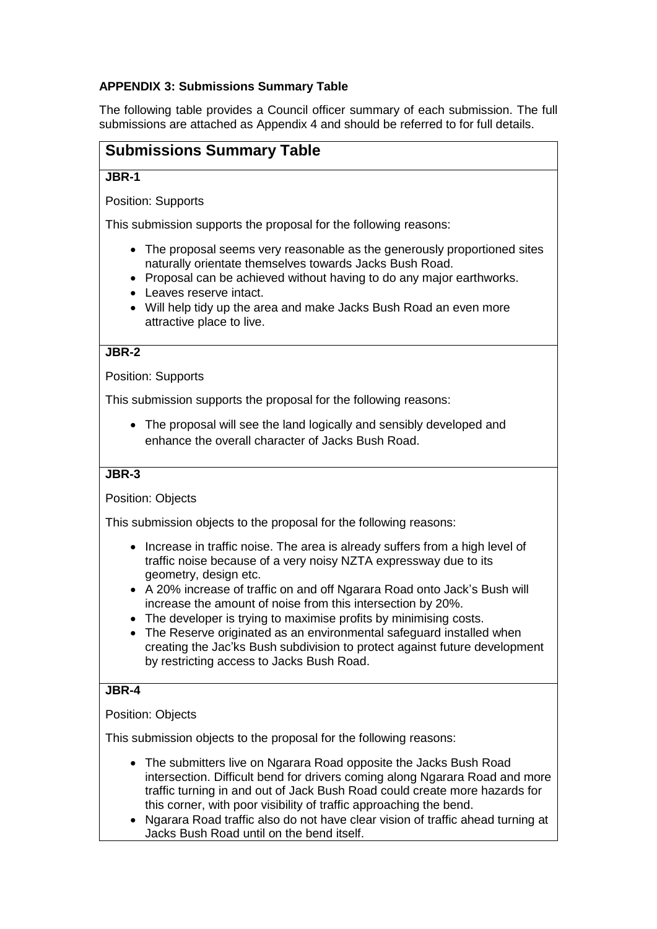## **APPENDIX 3: Submissions Summary Table**

The following table provides a Council officer summary of each submission. The full submissions are attached as Appendix 4 and should be referred to for full details.

# **Submissions Summary Table**

#### **JBR-1**

Position: Supports

This submission supports the proposal for the following reasons:

- The proposal seems very reasonable as the generously proportioned sites naturally orientate themselves towards Jacks Bush Road.
- Proposal can be achieved without having to do any major earthworks.
- Leaves reserve intact.
- Will help tidy up the area and make Jacks Bush Road an even more attractive place to live.

## **JBR-2**

Position: Supports

This submission supports the proposal for the following reasons:

 The proposal will see the land logically and sensibly developed and enhance the overall character of Jacks Bush Road.

## **JBR-3**

#### Position: Objects

This submission objects to the proposal for the following reasons:

- Increase in traffic noise. The area is already suffers from a high level of traffic noise because of a very noisy NZTA expressway due to its geometry, design etc.
- A 20% increase of traffic on and off Ngarara Road onto Jack's Bush will increase the amount of noise from this intersection by 20%.
- The developer is trying to maximise profits by minimising costs.
- The Reserve originated as an environmental safeguard installed when creating the Jac'ks Bush subdivision to protect against future development by restricting access to Jacks Bush Road.

#### **JBR-4**

#### Position: Objects

- The submitters live on Ngarara Road opposite the Jacks Bush Road intersection. Difficult bend for drivers coming along Ngarara Road and more traffic turning in and out of Jack Bush Road could create more hazards for this corner, with poor visibility of traffic approaching the bend.
- Ngarara Road traffic also do not have clear vision of traffic ahead turning at Jacks Bush Road until on the bend itself.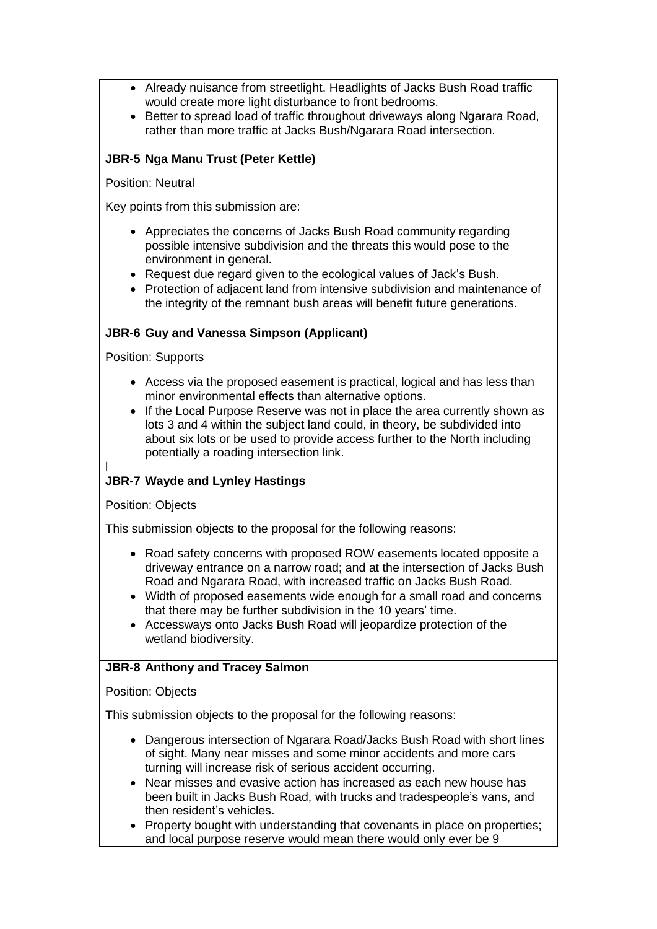- Already nuisance from streetlight. Headlights of Jacks Bush Road traffic would create more light disturbance to front bedrooms.
- Better to spread load of traffic throughout driveways along Ngarara Road, rather than more traffic at Jacks Bush/Ngarara Road intersection.

# **JBR-5 Nga Manu Trust (Peter Kettle)**

Position: Neutral

Key points from this submission are:

- Appreciates the concerns of Jacks Bush Road community regarding possible intensive subdivision and the threats this would pose to the environment in general.
- Request due regard given to the ecological values of Jack's Bush.
- Protection of adjacent land from intensive subdivision and maintenance of the integrity of the remnant bush areas will benefit future generations.

## **JBR-6 Guy and Vanessa Simpson (Applicant)**

Position: Supports

- Access via the proposed easement is practical, logical and has less than minor environmental effects than alternative options.
- If the Local Purpose Reserve was not in place the area currently shown as lots 3 and 4 within the subject land could, in theory, be subdivided into about six lots or be used to provide access further to the North including potentially a roading intersection link.

#### l **JBR-7 Wayde and Lynley Hastings**

Position: Objects

This submission objects to the proposal for the following reasons:

- Road safety concerns with proposed ROW easements located opposite a driveway entrance on a narrow road; and at the intersection of Jacks Bush Road and Ngarara Road, with increased traffic on Jacks Bush Road.
- Width of proposed easements wide enough for a small road and concerns that there may be further subdivision in the 10 years' time.
- Accessways onto Jacks Bush Road will jeopardize protection of the wetland biodiversity.

## **JBR-8 Anthony and Tracey Salmon**

Position: Objects

- Dangerous intersection of Ngarara Road/Jacks Bush Road with short lines of sight. Many near misses and some minor accidents and more cars turning will increase risk of serious accident occurring.
- Near misses and evasive action has increased as each new house has been built in Jacks Bush Road, with trucks and tradespeople's vans, and then resident's vehicles.
- Property bought with understanding that covenants in place on properties; and local purpose reserve would mean there would only ever be 9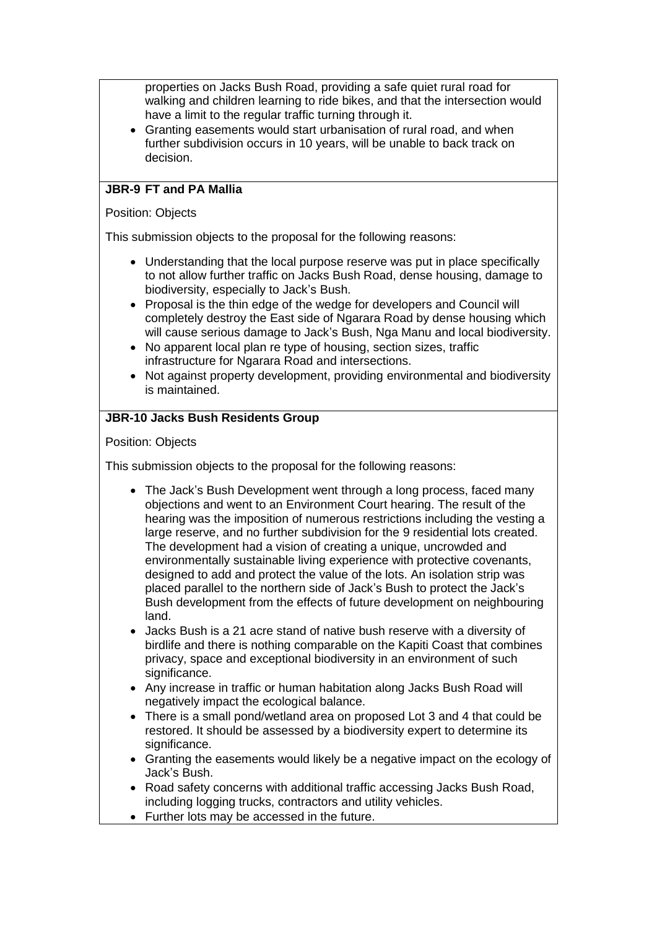properties on Jacks Bush Road, providing a safe quiet rural road for walking and children learning to ride bikes, and that the intersection would have a limit to the regular traffic turning through it.

 Granting easements would start urbanisation of rural road, and when further subdivision occurs in 10 years, will be unable to back track on decision.

### **JBR-9 FT and PA Mallia**

#### Position: Objects

This submission objects to the proposal for the following reasons:

- Understanding that the local purpose reserve was put in place specifically to not allow further traffic on Jacks Bush Road, dense housing, damage to biodiversity, especially to Jack's Bush.
- Proposal is the thin edge of the wedge for developers and Council will completely destroy the East side of Ngarara Road by dense housing which will cause serious damage to Jack's Bush, Nga Manu and local biodiversity.
- No apparent local plan re type of housing, section sizes, traffic infrastructure for Ngarara Road and intersections.
- Not against property development, providing environmental and biodiversity is maintained.

### **JBR-10 Jacks Bush Residents Group**

#### Position: Objects

- The Jack's Bush Development went through a long process, faced many objections and went to an Environment Court hearing. The result of the hearing was the imposition of numerous restrictions including the vesting a large reserve, and no further subdivision for the 9 residential lots created. The development had a vision of creating a unique, uncrowded and environmentally sustainable living experience with protective covenants, designed to add and protect the value of the lots. An isolation strip was placed parallel to the northern side of Jack's Bush to protect the Jack's Bush development from the effects of future development on neighbouring land.
- Jacks Bush is a 21 acre stand of native bush reserve with a diversity of birdlife and there is nothing comparable on the Kapiti Coast that combines privacy, space and exceptional biodiversity in an environment of such significance.
- Any increase in traffic or human habitation along Jacks Bush Road will negatively impact the ecological balance.
- There is a small pond/wetland area on proposed Lot 3 and 4 that could be restored. It should be assessed by a biodiversity expert to determine its significance.
- Granting the easements would likely be a negative impact on the ecology of Jack's Bush.
- Road safety concerns with additional traffic accessing Jacks Bush Road, including logging trucks, contractors and utility vehicles.
- Further lots may be accessed in the future.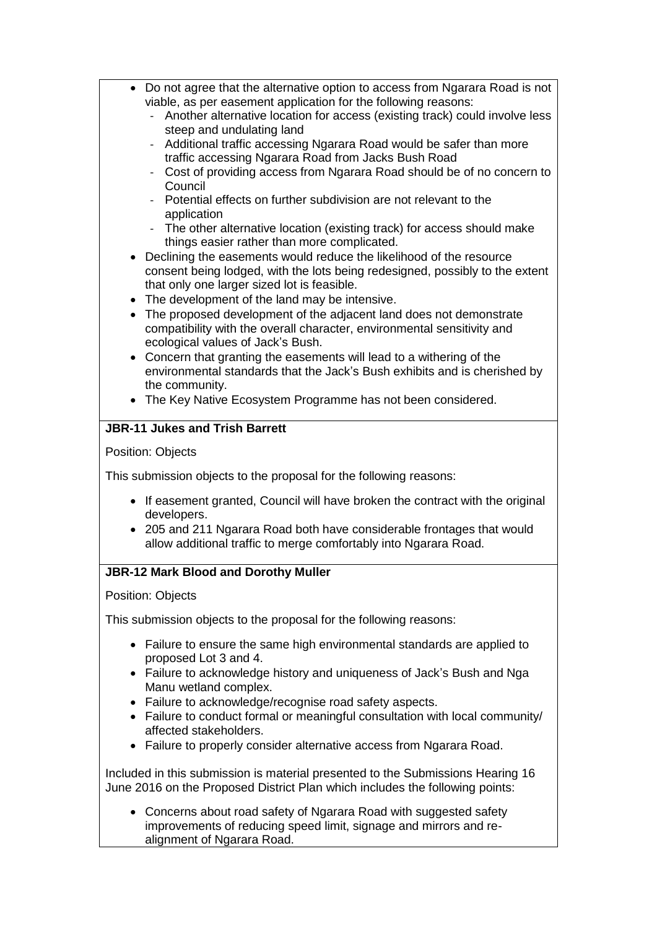| Do not agree that the alternative option to access from Ngarara Road is not<br>viable, as per easement application for the following reasons:<br>Another alternative location for access (existing track) could involve less<br>steep and undulating land<br>Additional traffic accessing Ngarara Road would be safer than more<br>traffic accessing Ngarara Road from Jacks Bush Road<br>Cost of providing access from Ngarara Road should be of no concern to<br>Council<br>Potential effects on further subdivision are not relevant to the<br>application<br>- The other alternative location (existing track) for access should make<br>things easier rather than more complicated.<br>• Declining the easements would reduce the likelihood of the resource<br>consent being lodged, with the lots being redesigned, possibly to the extent<br>that only one larger sized lot is feasible.<br>The development of the land may be intensive.<br>The proposed development of the adjacent land does not demonstrate<br>compatibility with the overall character, environmental sensitivity and<br>ecological values of Jack's Bush.<br>Concern that granting the easements will lead to a withering of the<br>environmental standards that the Jack's Bush exhibits and is cherished by<br>the community.<br>• The Key Native Ecosystem Programme has not been considered. |
|--------------------------------------------------------------------------------------------------------------------------------------------------------------------------------------------------------------------------------------------------------------------------------------------------------------------------------------------------------------------------------------------------------------------------------------------------------------------------------------------------------------------------------------------------------------------------------------------------------------------------------------------------------------------------------------------------------------------------------------------------------------------------------------------------------------------------------------------------------------------------------------------------------------------------------------------------------------------------------------------------------------------------------------------------------------------------------------------------------------------------------------------------------------------------------------------------------------------------------------------------------------------------------------------------------------------------------------------------------------------------------|
|                                                                                                                                                                                                                                                                                                                                                                                                                                                                                                                                                                                                                                                                                                                                                                                                                                                                                                                                                                                                                                                                                                                                                                                                                                                                                                                                                                                |
| <b>JBR-11 Jukes and Trish Barrett</b>                                                                                                                                                                                                                                                                                                                                                                                                                                                                                                                                                                                                                                                                                                                                                                                                                                                                                                                                                                                                                                                                                                                                                                                                                                                                                                                                          |
| Position: Objects                                                                                                                                                                                                                                                                                                                                                                                                                                                                                                                                                                                                                                                                                                                                                                                                                                                                                                                                                                                                                                                                                                                                                                                                                                                                                                                                                              |
|                                                                                                                                                                                                                                                                                                                                                                                                                                                                                                                                                                                                                                                                                                                                                                                                                                                                                                                                                                                                                                                                                                                                                                                                                                                                                                                                                                                |
| This submission objects to the proposal for the following reasons:                                                                                                                                                                                                                                                                                                                                                                                                                                                                                                                                                                                                                                                                                                                                                                                                                                                                                                                                                                                                                                                                                                                                                                                                                                                                                                             |
| • If easement granted, Council will have broken the contract with the original                                                                                                                                                                                                                                                                                                                                                                                                                                                                                                                                                                                                                                                                                                                                                                                                                                                                                                                                                                                                                                                                                                                                                                                                                                                                                                 |
| developers.                                                                                                                                                                                                                                                                                                                                                                                                                                                                                                                                                                                                                                                                                                                                                                                                                                                                                                                                                                                                                                                                                                                                                                                                                                                                                                                                                                    |
| • 205 and 211 Ngarara Road both have considerable frontages that would<br>allow additional traffic to merge comfortably into Ngarara Road.                                                                                                                                                                                                                                                                                                                                                                                                                                                                                                                                                                                                                                                                                                                                                                                                                                                                                                                                                                                                                                                                                                                                                                                                                                     |
| <b>JBR-12 Mark Blood and Dorothy Muller</b>                                                                                                                                                                                                                                                                                                                                                                                                                                                                                                                                                                                                                                                                                                                                                                                                                                                                                                                                                                                                                                                                                                                                                                                                                                                                                                                                    |
| <b>Position: Objects</b>                                                                                                                                                                                                                                                                                                                                                                                                                                                                                                                                                                                                                                                                                                                                                                                                                                                                                                                                                                                                                                                                                                                                                                                                                                                                                                                                                       |
| This submission objects to the proposal for the following reasons:                                                                                                                                                                                                                                                                                                                                                                                                                                                                                                                                                                                                                                                                                                                                                                                                                                                                                                                                                                                                                                                                                                                                                                                                                                                                                                             |
|                                                                                                                                                                                                                                                                                                                                                                                                                                                                                                                                                                                                                                                                                                                                                                                                                                                                                                                                                                                                                                                                                                                                                                                                                                                                                                                                                                                |
| Failure to ensure the same high environmental standards are applied to<br>$\bullet$<br>proposed Lot 3 and 4.                                                                                                                                                                                                                                                                                                                                                                                                                                                                                                                                                                                                                                                                                                                                                                                                                                                                                                                                                                                                                                                                                                                                                                                                                                                                   |
| • Failure to acknowledge history and uniqueness of Jack's Bush and Nga                                                                                                                                                                                                                                                                                                                                                                                                                                                                                                                                                                                                                                                                                                                                                                                                                                                                                                                                                                                                                                                                                                                                                                                                                                                                                                         |
| Manu wetland complex.                                                                                                                                                                                                                                                                                                                                                                                                                                                                                                                                                                                                                                                                                                                                                                                                                                                                                                                                                                                                                                                                                                                                                                                                                                                                                                                                                          |
| Failure to acknowledge/recognise road safety aspects.                                                                                                                                                                                                                                                                                                                                                                                                                                                                                                                                                                                                                                                                                                                                                                                                                                                                                                                                                                                                                                                                                                                                                                                                                                                                                                                          |
| • Failure to conduct formal or meaningful consultation with local community/<br>affected stakeholders.                                                                                                                                                                                                                                                                                                                                                                                                                                                                                                                                                                                                                                                                                                                                                                                                                                                                                                                                                                                                                                                                                                                                                                                                                                                                         |
| • Failure to properly consider alternative access from Ngarara Road.                                                                                                                                                                                                                                                                                                                                                                                                                                                                                                                                                                                                                                                                                                                                                                                                                                                                                                                                                                                                                                                                                                                                                                                                                                                                                                           |
|                                                                                                                                                                                                                                                                                                                                                                                                                                                                                                                                                                                                                                                                                                                                                                                                                                                                                                                                                                                                                                                                                                                                                                                                                                                                                                                                                                                |
| Included in this submission is material presented to the Submissions Hearing 16<br>June 2016 on the Proposed District Plan which includes the following points:                                                                                                                                                                                                                                                                                                                                                                                                                                                                                                                                                                                                                                                                                                                                                                                                                                                                                                                                                                                                                                                                                                                                                                                                                |
| Concerns about road safety of Ngarara Road with suggested safety<br>$\bullet$                                                                                                                                                                                                                                                                                                                                                                                                                                                                                                                                                                                                                                                                                                                                                                                                                                                                                                                                                                                                                                                                                                                                                                                                                                                                                                  |
| improvements of reducing speed limit, signage and mirrors and re-                                                                                                                                                                                                                                                                                                                                                                                                                                                                                                                                                                                                                                                                                                                                                                                                                                                                                                                                                                                                                                                                                                                                                                                                                                                                                                              |

alignment of Ngarara Road.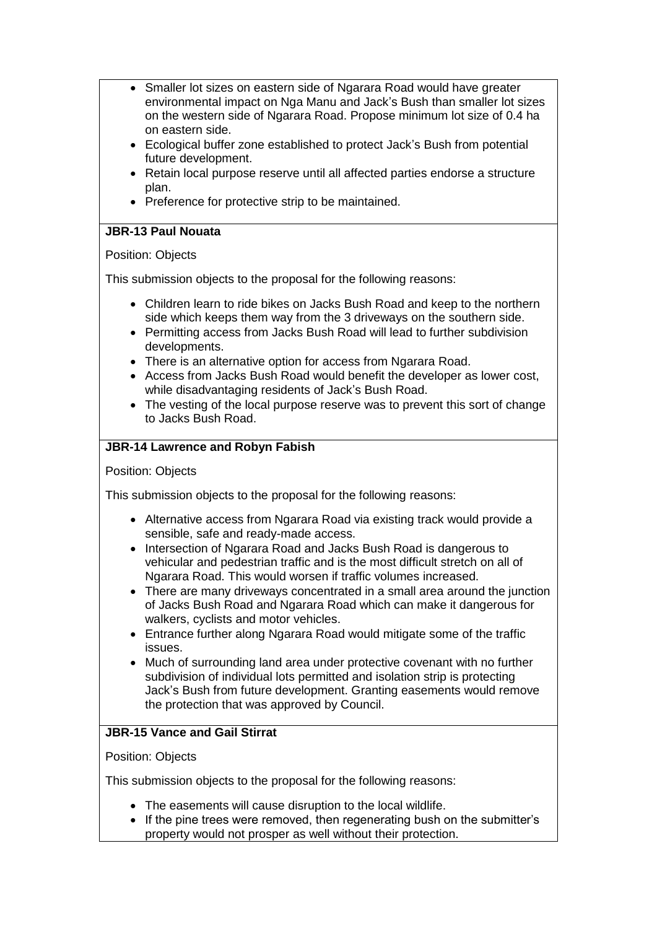- Smaller lot sizes on eastern side of Ngarara Road would have greater environmental impact on Nga Manu and Jack's Bush than smaller lot sizes on the western side of Ngarara Road. Propose minimum lot size of 0.4 ha on eastern side.
- Ecological buffer zone established to protect Jack's Bush from potential future development.
- Retain local purpose reserve until all affected parties endorse a structure plan.
- Preference for protective strip to be maintained.

## **JBR-13 Paul Nouata**

### Position: Objects

This submission objects to the proposal for the following reasons:

- Children learn to ride bikes on Jacks Bush Road and keep to the northern side which keeps them way from the 3 driveways on the southern side.
- Permitting access from Jacks Bush Road will lead to further subdivision developments.
- There is an alternative option for access from Ngarara Road.
- Access from Jacks Bush Road would benefit the developer as lower cost, while disadvantaging residents of Jack's Bush Road.
- The vesting of the local purpose reserve was to prevent this sort of change to Jacks Bush Road.

## **JBR-14 Lawrence and Robyn Fabish**

Position: Objects

This submission objects to the proposal for the following reasons:

- Alternative access from Ngarara Road via existing track would provide a sensible, safe and ready-made access.
- Intersection of Ngarara Road and Jacks Bush Road is dangerous to vehicular and pedestrian traffic and is the most difficult stretch on all of Ngarara Road. This would worsen if traffic volumes increased.
- There are many driveways concentrated in a small area around the junction of Jacks Bush Road and Ngarara Road which can make it dangerous for walkers, cyclists and motor vehicles.
- Entrance further along Ngarara Road would mitigate some of the traffic issues.
- Much of surrounding land area under protective covenant with no further subdivision of individual lots permitted and isolation strip is protecting Jack's Bush from future development. Granting easements would remove the protection that was approved by Council.

# **JBR-15 Vance and Gail Stirrat**

#### Position: Objects

- The easements will cause disruption to the local wildlife.
- If the pine trees were removed, then regenerating bush on the submitter's property would not prosper as well without their protection.